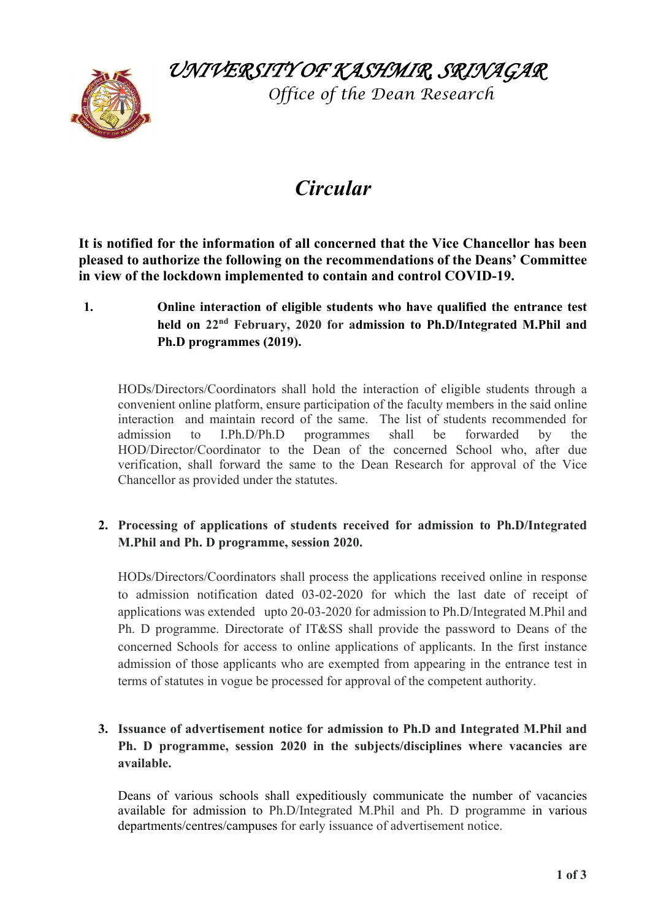*UNIVERSITY OF KASHMIR, SRINAGAR* 



 *Office of the Dean Research*

# *Circular*

**It is notified for the information of all concerned that the Vice Chancellor has been pleased to authorize the following on the recommendations of the Deans' Committee in view of the lockdown implemented to contain and control COVID-19.**

**1. Online interaction of eligible students who have qualified the entrance test held on 22nd February, 2020 for admission to Ph.D/Integrated M.Phil and Ph.D programmes (2019).** 

HODs/Directors/Coordinators shall hold the interaction of eligible students through a convenient online platform, ensure participation of the faculty members in the said online interaction and maintain record of the same. The list of students recommended for admission to I.Ph.D/Ph.D programmes shall be forwarded by the HOD/Director/Coordinator to the Dean of the concerned School who, after due verification, shall forward the same to the Dean Research for approval of the Vice Chancellor as provided under the statutes.

## **2. Processing of applications of students received for admission to Ph.D/Integrated M.Phil and Ph. D programme, session 2020.**

HODs/Directors/Coordinators shall process the applications received online in response to admission notification dated 03-02-2020 for which the last date of receipt of applications was extended upto 20-03-2020 for admission to Ph.D/Integrated M.Phil and Ph. D programme. Directorate of IT&SS shall provide the password to Deans of the concerned Schools for access to online applications of applicants. In the first instance admission of those applicants who are exempted from appearing in the entrance test in terms of statutes in vogue be processed for approval of the competent authority.

## **3. Issuance of advertisement notice for admission to Ph.D and Integrated M.Phil and Ph. D programme, session 2020 in the subjects/disciplines where vacancies are available.**

Deans of various schools shall expeditiously communicate the number of vacancies available for admission to Ph.D/Integrated M.Phil and Ph. D programme in various departments/centres/campuses for early issuance of advertisement notice.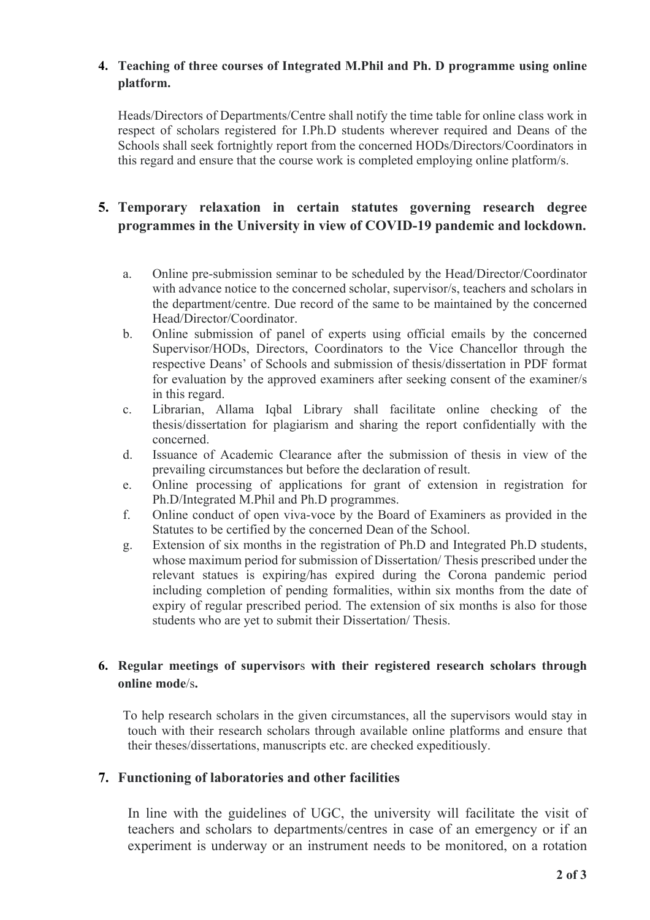#### **4. Teaching of three courses of Integrated M.Phil and Ph. D programme using online platform.**

Heads/Directors of Departments/Centre shall notify the time table for online class work in respect of scholars registered for I.Ph.D students wherever required and Deans of the Schools shall seek fortnightly report from the concerned HODs/Directors/Coordinators in this regard and ensure that the course work is completed employing online platform/s.

## **5. Temporary relaxation in certain statutes governing research degree programmes in the University in view of COVID-19 pandemic and lockdown.**

- a. Online pre-submission seminar to be scheduled by the Head/Director/Coordinator with advance notice to the concerned scholar, supervisor/s, teachers and scholars in the department/centre. Due record of the same to be maintained by the concerned Head/Director/Coordinator.
- b. Online submission of panel of experts using official emails by the concerned Supervisor/HODs, Directors, Coordinators to the Vice Chancellor through the respective Deans' of Schools and submission of thesis/dissertation in PDF format for evaluation by the approved examiners after seeking consent of the examiner/s in this regard.
- c. Librarian, Allama Iqbal Library shall facilitate online checking of the thesis/dissertation for plagiarism and sharing the report confidentially with the concerned.
- d. Issuance of Academic Clearance after the submission of thesis in view of the prevailing circumstances but before the declaration of result.
- e. Online processing of applications for grant of extension in registration for Ph.D/Integrated M.Phil and Ph.D programmes.
- f. Online conduct of open viva-voce by the Board of Examiners as provided in the Statutes to be certified by the concerned Dean of the School.
- g. Extension of six months in the registration of Ph.D and Integrated Ph.D students, whose maximum period for submission of Dissertation/ Thesis prescribed under the relevant statues is expiring/has expired during the Corona pandemic period including completion of pending formalities, within six months from the date of expiry of regular prescribed period. The extension of six months is also for those students who are yet to submit their Dissertation/ Thesis.

## **6. Regular meetings of supervisor**s **with their registered research scholars through online mode**/s**.**

To help research scholars in the given circumstances, all the supervisors would stay in touch with their research scholars through available online platforms and ensure that their theses/dissertations, manuscripts etc. are checked expeditiously.

## **7. Functioning of laboratories and other facilities**

In line with the guidelines of UGC, the university will facilitate the visit of teachers and scholars to departments/centres in case of an emergency or if an experiment is underway or an instrument needs to be monitored, on a rotation